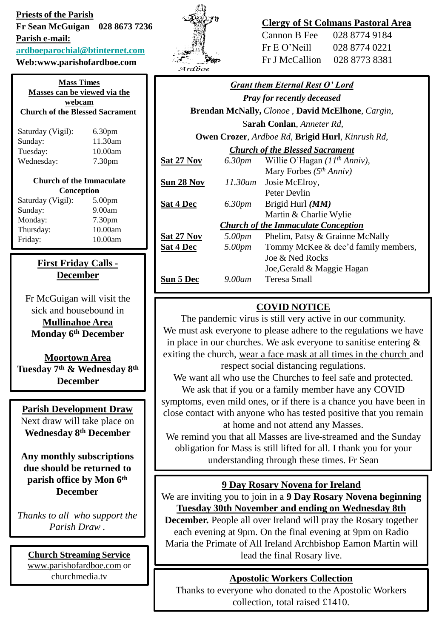**Priests of the Parish Fr Sean McGuigan 028 8673 7236 Parish e-mail: [ardboeparochial@btinternet.com](mailto:ardboeparochial@btinternet.com)**

**Web:www.parishofardboe.com**

**Mass Times Masses can be viewed via the webcam Church of the Blessed Sacrament** Saturday (Vigil): 6.30pm Sunday: 11.30am Tuesday: 10.00am Wednesday: 7.30pm **Church of the Immaculate Conception** Saturday (Vigil): 5.00pm Sunday: 9.00am Monday: 7.30pm Thursday: 10.00am Friday: 10.00am

# **First Friday Calls - December**

Fr McGuigan will visit the sick and housebound in **Mullinahoe Area Monday 6th December** 

**Moortown Area Tuesday 7th & Wednesday 8th December** 

## **Parish Development Draw**

Next draw will take place on **Wednesday 8th December** 

**Any monthly subscriptions due should be returned to parish office by Mon 6th December**

*Thanks to all who support the Parish Draw .*

**Church Streaming Service** [www.parishofardboe.com](http://www.parishofardboe.com/) or churchmedia.tv



## **Clergy of St Colmans Pastoral Area**

| Cannon B Fee    | 028 8774 9184 |
|-----------------|---------------|
| $Fr E O'$ Neill | 028 8774 0221 |
| Fr J McCallion  | 028 8773 8381 |

| <b>Grant them Eternal Rest O' Lord</b>                  |           |                                     |
|---------------------------------------------------------|-----------|-------------------------------------|
| <b>Pray for recently deceased</b>                       |           |                                     |
| Brendan McNally, Clonoe, David McElhone, Cargin,        |           |                                     |
| Sarah Conlan, Anneter Rd,                               |           |                                     |
| <b>Owen Crozer, Ardboe Rd, Brigid Hurl, Kinrush Rd,</b> |           |                                     |
| <b>Church of the Blessed Sacrament</b>                  |           |                                     |
| <u>Sat 27 Nov</u>                                       | 6.30pm    | Willie O'Hagan $(11th Anniv)$ ,     |
|                                                         |           | Mary Forbes $(5th Anniv)$           |
| <u>Sun 28 Nov</u>                                       | 11.30am   | Josie McElroy,                      |
|                                                         |           | Peter Devlin                        |
| <b>Sat 4 Dec</b>                                        | 6.30pm    | Brigid Hurl ( <i>MM</i> )           |
|                                                         |           | Martin & Charlie Wylie              |
| <b>Church of the Immaculate Conception</b>              |           |                                     |
| <b>Sat 27 Nov</b>                                       | 5.00pm    | Phelim, Patsy & Grainne McNally     |
| <b>Sat 4 Dec</b>                                        | 5.00pm    | Tommy McKee & dec'd family members, |
|                                                         |           | Joe & Ned Rocks                     |
|                                                         |           | Joe, Gerald & Maggie Hagan          |
| Sun 5 Dec                                               | $9.00$ am | Teresa Small                        |
|                                                         |           |                                     |

# **COVID NOTICE**

The pandemic virus is still very active in our community. We must ask everyone to please adhere to the regulations we have in place in our churches. We ask everyone to sanitise entering & exiting the church, wear a face mask at all times in the church and respect social distancing regulations.

We want all who use the Churches to feel safe and protected. We ask that if you or a family member have any COVID

symptoms, even mild ones, or if there is a chance you have been in close contact with anyone who has tested positive that you remain at home and not attend any Masses.

We remind you that all Masses are live-streamed and the Sunday obligation for Mass is still lifted for all. I thank you for your understanding through these times. Fr Sean

# **9 Day Rosary Novena for Ireland**

We are inviting you to join in a **9 Day Rosary Novena beginning Tuesday 30th November and ending on Wednesday 8th** 

**December.** People all over Ireland will pray the Rosary together each evening at 9pm. On the final evening at 9pm on Radio Maria the Primate of All Ireland Archbishop Eamon Martin will lead the final Rosary live.

# **Apostolic Workers Collection**

Thanks to everyone who donated to the Apostolic Workers collection, total raised £1410.